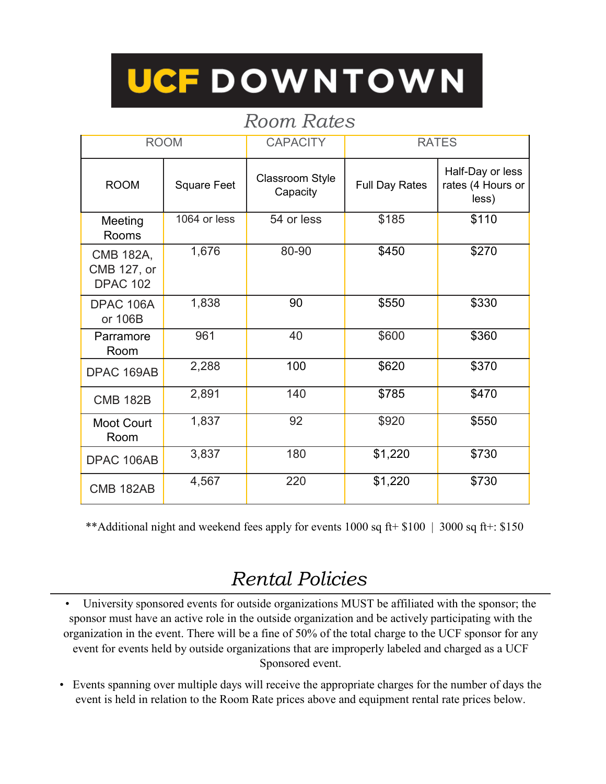## UCF DOWNTOWN

## *Room Rates*

| <b>ROOM</b>                                 |                    | <b>CAPACITY</b>                    | <b>RATES</b>          |                                                |
|---------------------------------------------|--------------------|------------------------------------|-----------------------|------------------------------------------------|
| <b>ROOM</b>                                 | <b>Square Feet</b> | <b>Classroom Style</b><br>Capacity | <b>Full Day Rates</b> | Half-Day or less<br>rates (4 Hours or<br>less) |
| Meeting<br>Rooms                            | 1064 or less       | 54 or less                         | \$185                 | \$110                                          |
| CMB 182A,<br>CMB 127, or<br><b>DPAC 102</b> | 1,676              | 80-90                              | \$450                 | \$270                                          |
| DPAC 106A<br>or 106B                        | 1,838              | 90                                 | \$550                 | \$330                                          |
| Parramore<br>Room                           | 961                | 40                                 | \$600                 | \$360                                          |
| DPAC 169AB                                  | 2,288              | 100                                | \$620                 | \$370                                          |
| <b>CMB 182B</b>                             | 2,891              | 140                                | \$785                 | \$470                                          |
| <b>Moot Court</b><br>Room                   | 1,837              | 92                                 | \$920                 | \$550                                          |
| DPAC 106AB                                  | 3,837              | 180                                | \$1,220               | \$730                                          |
| <b>CMB 182AB</b>                            | 4,567              | 220                                | \$1,220               | \$730                                          |

\*\*Additional night and weekend fees apply for events 1000 sq ft+ \$100 | 3000 sq ft+: \$150

## *Rental Policies*

*•* University sponsored events for outside organizations MUST be affiliated with the sponsor; the sponsor must have an active role in the outside organization and be actively participating with the organization in the event. There will be a fine of 50% of the total charge to the UCF sponsor for any event for events held by outside organizations that are improperly labeled and charged as a UCF Sponsored event.

• Events spanning over multiple days will receive the appropriate charges for the number of days the event is held in relation to the Room Rate prices above and equipment rental rate prices below.